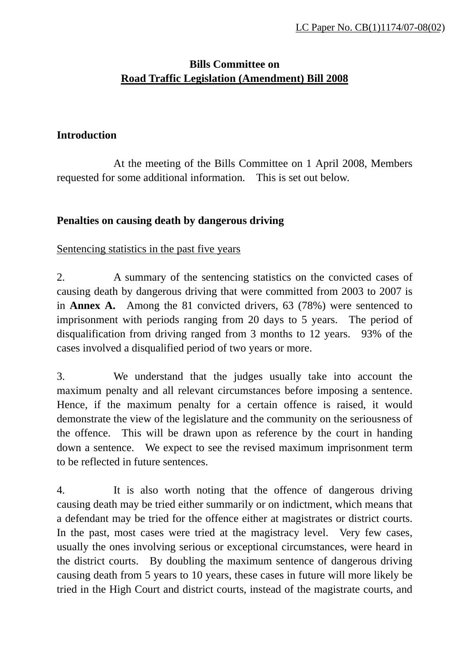# **Bills Committee on Road Traffic Legislation (Amendment) Bill 2008**

#### **Introduction**

At the meeting of the Bills Committee on 1 April 2008, Members requested for some additional information. This is set out below.

### **Penalties on causing death by dangerous driving**

#### Sentencing statistics in the past five years

2. A summary of the sentencing statistics on the convicted cases of causing death by dangerous driving that were committed from 2003 to 2007 is in **Annex A.** Among the 81 convicted drivers, 63 (78%) were sentenced to imprisonment with periods ranging from 20 days to 5 years. The period of disqualification from driving ranged from 3 months to 12 years. 93% of the cases involved a disqualified period of two years or more.

3. We understand that the judges usually take into account the maximum penalty and all relevant circumstances before imposing a sentence. Hence, if the maximum penalty for a certain offence is raised, it would demonstrate the view of the legislature and the community on the seriousness of the offence. This will be drawn upon as reference by the court in handing down a sentence. We expect to see the revised maximum imprisonment term to be reflected in future sentences.

4. It is also worth noting that the offence of dangerous driving causing death may be tried either summarily or on indictment, which means that a defendant may be tried for the offence either at magistrates or district courts. In the past, most cases were tried at the magistracy level. Very few cases, usually the ones involving serious or exceptional circumstances, were heard in the district courts. By doubling the maximum sentence of dangerous driving causing death from 5 years to 10 years, these cases in future will more likely be tried in the High Court and district courts, instead of the magistrate courts, and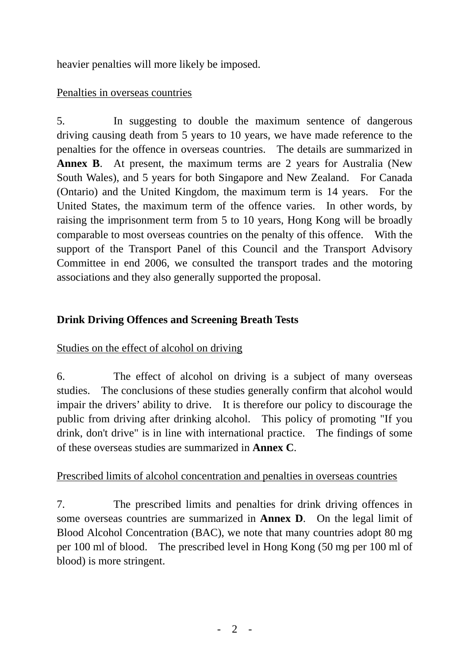heavier penalties will more likely be imposed.

### Penalties in overseas countries

5. In suggesting to double the maximum sentence of dangerous driving causing death from 5 years to 10 years, we have made reference to the penalties for the offence in overseas countries. The details are summarized in **Annex B**. At present, the maximum terms are 2 years for Australia (New South Wales), and 5 years for both Singapore and New Zealand. For Canada (Ontario) and the United Kingdom, the maximum term is 14 years. For the United States, the maximum term of the offence varies. In other words, by raising the imprisonment term from 5 to 10 years, Hong Kong will be broadly comparable to most overseas countries on the penalty of this offence. With the support of the Transport Panel of this Council and the Transport Advisory Committee in end 2006, we consulted the transport trades and the motoring associations and they also generally supported the proposal.

# **Drink Driving Offences and Screening Breath Tests**

# Studies on the effect of alcohol on driving

6. The effect of alcohol on driving is a subject of many overseas studies. The conclusions of these studies generally confirm that alcohol would impair the drivers' ability to drive. It is therefore our policy to discourage the public from driving after drinking alcohol. This policy of promoting "If you drink, don't drive" is in line with international practice. The findings of some of these overseas studies are summarized in **Annex C**.

#### Prescribed limits of alcohol concentration and penalties in overseas countries

7. The prescribed limits and penalties for drink driving offences in some overseas countries are summarized in **Annex D**. On the legal limit of Blood Alcohol Concentration (BAC), we note that many countries adopt 80 mg per 100 ml of blood. The prescribed level in Hong Kong (50 mg per 100 ml of blood) is more stringent.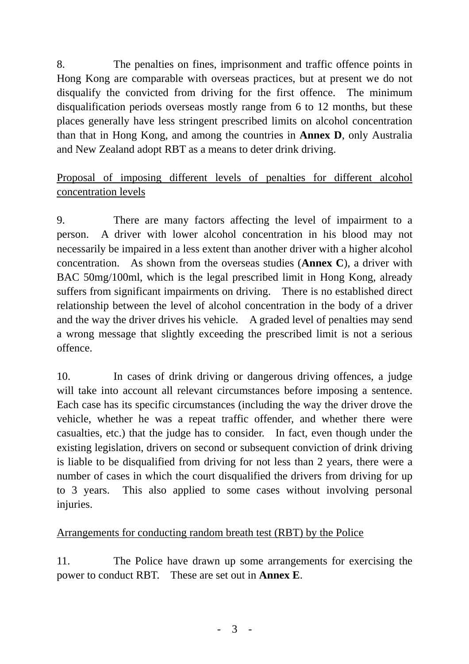8. The penalties on fines, imprisonment and traffic offence points in Hong Kong are comparable with overseas practices, but at present we do not disqualify the convicted from driving for the first offence. The minimum disqualification periods overseas mostly range from 6 to 12 months, but these places generally have less stringent prescribed limits on alcohol concentration than that in Hong Kong, and among the countries in **Annex D**, only Australia and New Zealand adopt RBT as a means to deter drink driving.

# Proposal of imposing different levels of penalties for different alcohol concentration levels

9. There are many factors affecting the level of impairment to a person. A driver with lower alcohol concentration in his blood may not necessarily be impaired in a less extent than another driver with a higher alcohol concentration. As shown from the overseas studies (**Annex C**), a driver with BAC 50mg/100ml, which is the legal prescribed limit in Hong Kong, already suffers from significant impairments on driving. There is no established direct relationship between the level of alcohol concentration in the body of a driver and the way the driver drives his vehicle. A graded level of penalties may send a wrong message that slightly exceeding the prescribed limit is not a serious offence.

10. In cases of drink driving or dangerous driving offences, a judge will take into account all relevant circumstances before imposing a sentence. Each case has its specific circumstances (including the way the driver drove the vehicle, whether he was a repeat traffic offender, and whether there were casualties, etc.) that the judge has to consider. In fact, even though under the existing legislation, drivers on second or subsequent conviction of drink driving is liable to be disqualified from driving for not less than 2 years, there were a number of cases in which the court disqualified the drivers from driving for up to 3 years. This also applied to some cases without involving personal injuries.

# Arrangements for conducting random breath test (RBT) by the Police

11. The Police have drawn up some arrangements for exercising the power to conduct RBT. These are set out in **Annex E**.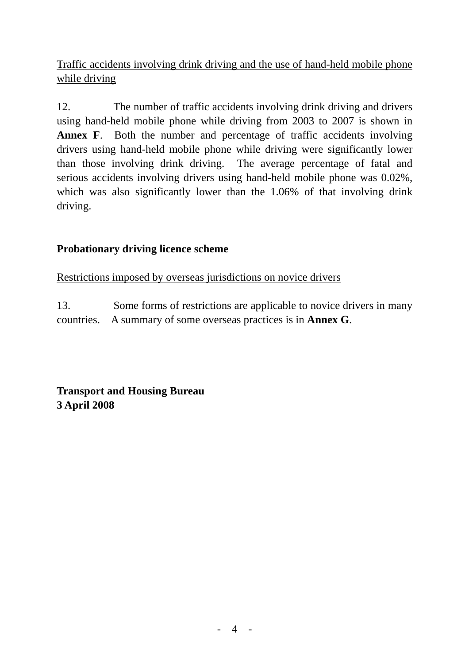Traffic accidents involving drink driving and the use of hand-held mobile phone while driving

12. The number of traffic accidents involving drink driving and drivers using hand-held mobile phone while driving from 2003 to 2007 is shown in **Annex F**. Both the number and percentage of traffic accidents involving drivers using hand-held mobile phone while driving were significantly lower than those involving drink driving. The average percentage of fatal and serious accidents involving drivers using hand-held mobile phone was 0.02%, which was also significantly lower than the 1.06% of that involving drink driving.

# **Probationary driving licence scheme**

Restrictions imposed by overseas jurisdictions on novice drivers

13. Some forms of restrictions are applicable to novice drivers in many countries. A summary of some overseas practices is in **Annex G**.

**Transport and Housing Bureau 3 April 2008**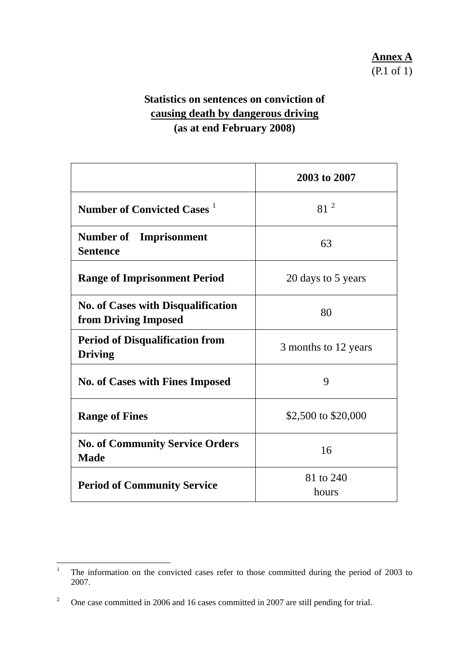# **Statistics on sentences on conviction of causing death by dangerous driving (as at end February 2008)**

|                                                                   | 2003 to 2007         |
|-------------------------------------------------------------------|----------------------|
| Number of Convicted Cases <sup>1</sup>                            | 81 <sup>2</sup>      |
| <b>Number of</b> Imprisonment<br><b>Sentence</b>                  | 63                   |
| <b>Range of Imprisonment Period</b>                               | 20 days to 5 years   |
| <b>No. of Cases with Disqualification</b><br>from Driving Imposed | 80                   |
| <b>Period of Disqualification from</b><br><b>Driving</b>          | 3 months to 12 years |
| <b>No. of Cases with Fines Imposed</b>                            | 9                    |
| <b>Range of Fines</b>                                             | \$2,500 to \$20,000  |
| <b>No. of Community Service Orders</b><br><b>Made</b>             | 16                   |
| <b>Period of Community Service</b>                                | 81 to 240<br>hours   |

<sup>&</sup>lt;sup>1</sup> The information on the convicted cases refer to those committed during the period of 2003 to 2007.

<span id="page-4-1"></span><span id="page-4-0"></span><sup>2</sup> One case committed in 2006 and 16 cases committed in 2007 are still pending for trial.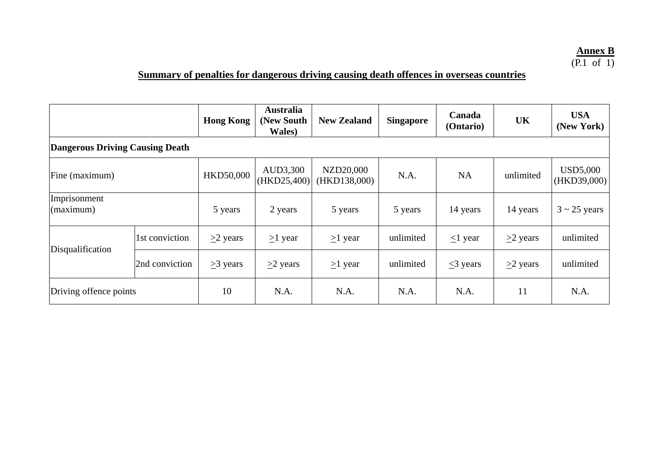# **<u>Annex B</u>**<br>(P.1 of 1)

# **Summary of penalties for dangerous driving causing death offences in overseas countries**

|                                 |                | <b>Hong Kong</b> | <b>Australia</b><br>(New South)<br>Wales) | <b>New Zealand</b>        | <b>Singapore</b> | Canada<br>(Ontario) | <b>UK</b>    | <b>USA</b><br>(New York) |  |
|---------------------------------|----------------|------------------|-------------------------------------------|---------------------------|------------------|---------------------|--------------|--------------------------|--|
| Dangerous Driving Causing Death |                |                  |                                           |                           |                  |                     |              |                          |  |
| Fine (maximum)                  |                | HKD50,000        | AUD3,300<br>(HKD25,400)                   | NZD20,000<br>(HKD138,000) | N.A.             | <b>NA</b>           | unlimited    | USD5,000<br>(HKD39,000)  |  |
| Imprisonment<br>(maximum)       |                | 5 years          | 2 years                                   | 5 years                   | 5 years          | 14 years            | 14 years     | $3 \sim 25$ years        |  |
| Disqualification                | 1st conviction | $\geq$ years     | $\geq$ 1 year                             | $\geq$ 1 year             | unlimited        | $\leq$ 1 year       | $\geq$ years | unlimited                |  |
|                                 | 2nd conviction | $\geq$ 3 years   | $\geq$ years                              | $\geq$ 1 year             | unlimited        | $\leq$ 3 years      | $\geq$ years | unlimited                |  |
| Driving offence points          |                | 10               | N.A.                                      | N.A.                      | N.A.             | N.A.                | 11           | N.A.                     |  |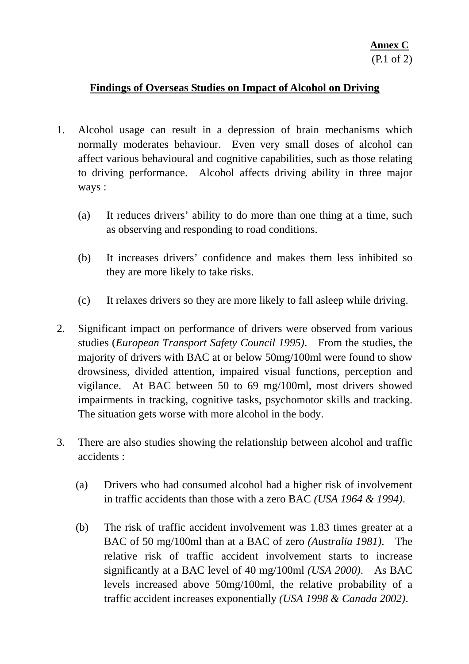#### **Findings of Overseas Studies on Impact of Alcohol on Driving**

- 1. Alcohol usage can result in a depression of brain mechanisms which normally moderates behaviour. Even very small doses of alcohol can affect various behavioural and cognitive capabilities, such as those relating to driving performance. Alcohol affects driving ability in three major ways :
	- (a) It reduces drivers' ability to do more than one thing at a time, such as observing and responding to road conditions.
	- (b) It increases drivers' confidence and makes them less inhibited so they are more likely to take risks.
	- (c) It relaxes drivers so they are more likely to fall asleep while driving.
- 2. Significant impact on performance of drivers were observed from various studies (*European Transport Safety Council 1995)*. From the studies, the majority of drivers with BAC at or below 50mg/100ml were found to show drowsiness, divided attention, impaired visual functions, perception and vigilance. At BAC between 50 to 69 mg/100ml, most drivers showed impairments in tracking, cognitive tasks, psychomotor skills and tracking. The situation gets worse with more alcohol in the body.
- 3. There are also studies showing the relationship between alcohol and traffic accidents :
	- (a) Drivers who had consumed alcohol had a higher risk of involvement in traffic accidents than those with a zero BAC *(USA 1964 & 1994)*.
	- (b) The risk of traffic accident involvement was 1.83 times greater at a BAC of 50 mg/100ml than at a BAC of zero *(Australia 1981)*.The relative risk of traffic accident involvement starts to increase significantly at a BAC level of 40 mg/100ml *(USA 2000)*.As BAC levels increased above 50mg/100ml, the relative probability of a traffic accident increases exponentially *(USA 1998 & Canada 2002)*.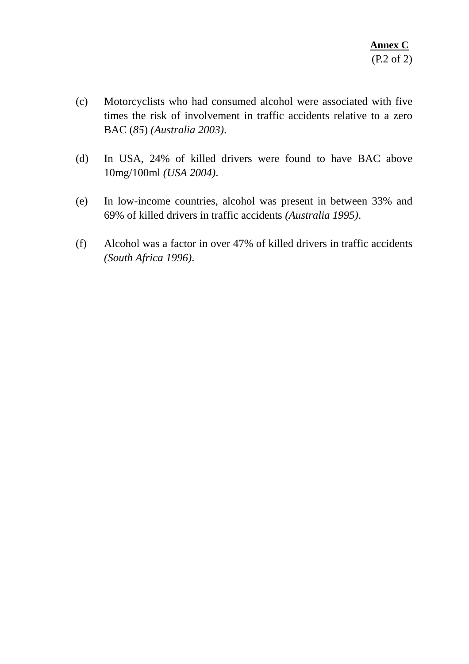- (c) Motorcyclists who had consumed alcohol were associated with five times the risk of involvement in traffic accidents relative to a zero BAC (*85*) *(Australia 2003)*.
- (d) In USA, 24% of killed drivers were found to have BAC above 10mg/100ml *(USA 2004)*.
- (e) In low-income countries, alcohol was present in between 33% and 69% of killed drivers in traffic accidents *(Australia 1995)*.
- (f) Alcohol was a factor in over 47% of killed drivers in traffic accidents *(South Africa 1996)*.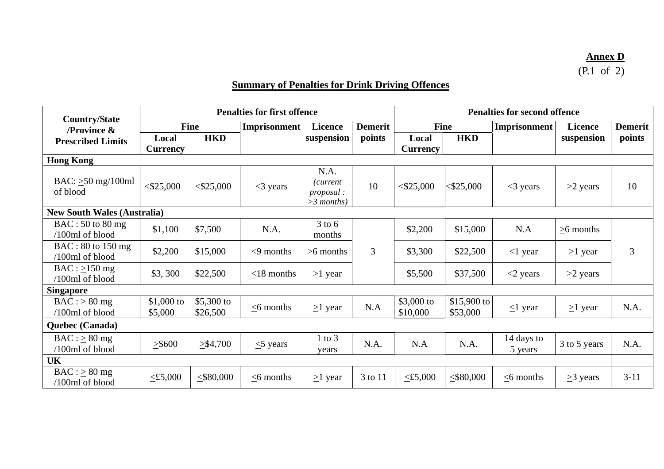# **Annex D**<br>(P.1 of 2)

# **Summary of Penalties for Drink Driving Offences**

| <b>Country/State</b>                   |                        |                        | <b>Penalties for first offence</b>    |                                                       |                | <b>Penalties for second offence</b> |                          |                       |                |                |
|----------------------------------------|------------------------|------------------------|---------------------------------------|-------------------------------------------------------|----------------|-------------------------------------|--------------------------|-----------------------|----------------|----------------|
| <b>/Province <math>\&amp;</math></b>   | Fine                   |                        | <b>Imprisonment</b><br><b>Licence</b> |                                                       | <b>Demerit</b> | Fine                                |                          | <b>Imprisonment</b>   |                | <b>Demerit</b> |
| <b>Prescribed Limits</b>               | Local                  | <b>HKD</b>             |                                       | suspension                                            | points         | Local                               | <b>HKD</b>               |                       | suspension     | points         |
|                                        | <b>Currency</b>        |                        |                                       |                                                       |                | <b>Currency</b>                     |                          |                       |                |                |
| <b>Hong Kong</b>                       |                        |                        |                                       |                                                       |                |                                     |                          |                       |                |                |
| BAC: $\geq 50$ mg/100ml<br>of blood    | $\leq$ \$25,000        | $\leq$ \$25,000        | $\leq$ 3 years                        | N.A.<br>(current<br><i>proposal</i> :<br>$>3$ months) | 10             | $\leq$ \$25,000                     | $<$ \$25,000             | $\leq$ 3 years        | $\geq$ years   | 10             |
| <b>New South Wales (Australia)</b>     |                        |                        |                                       |                                                       |                |                                     |                          |                       |                |                |
| $BAC: 50$ to 80 mg<br>/100ml of blood  | \$1,100                | \$7,500                | N.A.                                  | $3$ to $6$<br>months                                  |                | \$2,200                             | \$15,000                 | N.A                   | $>6$ months    |                |
| $BAC: 80$ to 150 mg<br>/100ml of blood | \$2,200                | \$15,000               | $\leq$ 9 months                       | $\geq 6$ months                                       | 3              | \$3,300                             | \$22,500                 | $\leq$ 1 year         | $\geq$ 1 year  | 3              |
| $BAC : >150$ mg<br>/100ml of blood     | \$3, 300               | \$22,500               | $<$ 18 months                         | $\geq$ 1 year                                         |                | \$5,500                             | \$37,500                 | $\leq$ years          | $\geq$ years   |                |
| <b>Singapore</b>                       |                        |                        |                                       |                                                       |                |                                     |                          |                       |                |                |
| $BAC : \geq 80$ mg<br>/100ml of blood  | $$1,000$ to<br>\$5,000 | \$5,300 to<br>\$26,500 | $\leq$ 6 months                       | $\geq$ 1 year                                         | N.A            | \$3,000 to<br>\$10,000              | $$15,900$ to<br>\$53,000 | $\leq$ 1 year         | $\geq$ 1 year  | N.A.           |
| Quebec (Canada)                        |                        |                        |                                       |                                                       |                |                                     |                          |                       |                |                |
| $BAC : \geq 80$ mg<br>/100ml of blood  | $\geq$ \$600           | $\geq 1,700$           | $\leq$ years                          | $1$ to $3$<br>years                                   | N.A.           | N.A                                 | N.A.                     | 14 days to<br>5 years | 3 to 5 years   | N.A.           |
| <b>UK</b>                              |                        |                        |                                       |                                                       |                |                                     |                          |                       |                |                |
| $BAC : \geq 80$ mg<br>/100ml of blood  | $\leq$ £5,000          | $\leq$ \$80,000        | $\leq$ 6 months                       | $\geq$ 1 year                                         | 3 to 11        | $\leq$ £5,000                       | $<$ \$80,000             | $<$ 6 months          | $\geq$ 3 years | $3 - 11$       |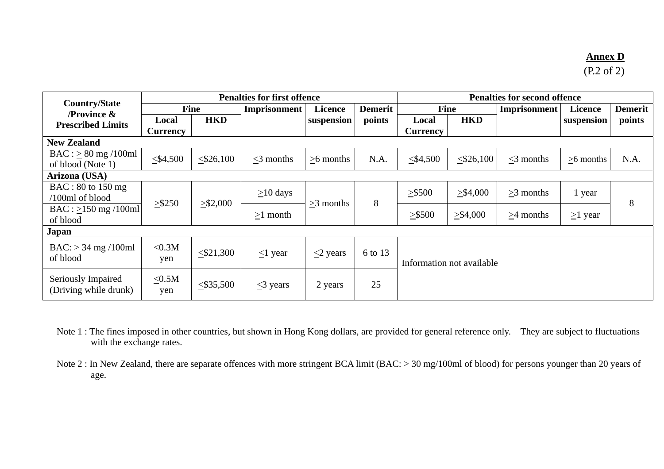#### **Annex D**

(P.2 of 2)

|                                                             | <b>Penalties for first offence</b> |                                               |                |             |                           | <b>Penalties for second offence</b> |              |                     |               |                |
|-------------------------------------------------------------|------------------------------------|-----------------------------------------------|----------------|-------------|---------------------------|-------------------------------------|--------------|---------------------|---------------|----------------|
| <b>Country/State</b><br><b>Province <math>\&amp;</math></b> | <b>Fine</b>                        |                                               | Imprisonment   | Licence     | <b>Demerit</b>            | Fine                                |              | <b>Imprisonment</b> | Licence       | <b>Demerit</b> |
| <b>Prescribed Limits</b>                                    | Local<br><b>Currency</b>           | <b>HKD</b>                                    |                | suspension  | points                    | Local<br><b>Currency</b>            | <b>HKD</b>   |                     | suspension    | points         |
| <b>New Zealand</b>                                          |                                    |                                               |                |             |                           |                                     |              |                     |               |                |
| $BAC : \geq 80$ mg /100ml<br>of blood (Note 1)              | $\leq$ \$4,500                     | $<$ \$26,100                                  | $<$ 3 months   | $>6$ months | N.A.                      | $\leq 4,500$                        | $<$ \$26,100 | $<$ 3 months        | $>6$ months   | N.A.           |
| Arizona (USA)                                               |                                    |                                               |                |             |                           |                                     |              |                     |               |                |
| $BAC: 80$ to 150 mg<br>$/100$ ml of blood                   |                                    |                                               | $\geq$ 10 days |             | 8                         | > \$500                             | > \$4,000    | $>3$ months         | 1 year        | 8              |
| $BAC : >150$ mg /100ml<br>of blood                          | $>$ \$250                          | $\geq$ \$2,000                                | $>1$ month     | $>3$ months |                           | $>$ \$500                           | > \$4,000    | $>4$ months         | $\geq$ 1 year |                |
| Japan                                                       |                                    |                                               |                |             |                           |                                     |              |                     |               |                |
| $BAC:$ > 34 mg /100ml<br>of blood                           | $\leq 0.3M$<br>yen                 | $<$ \$21,300<br>$\leq$ years<br>$\leq$ 1 year |                | 6 to 13     | Information not available |                                     |              |                     |               |                |
| Seriously Impaired<br>(Driving while drunk)                 | $\leq 0.5M$<br>yen                 | $<$ \$35,500                                  | $\leq$ 3 years | 2 years     | 25                        |                                     |              |                     |               |                |

- Note 1 : The fines imposed in other countries, but shown in Hong Kong dollars, are provided for general reference only. They are subject to fluctuations with the exchange rates.
- Note 2 : In New Zealand, there are separate offences with more stringent BCA limit (BAC: > 30 mg/100ml of blood) for persons younger than 20 years of age.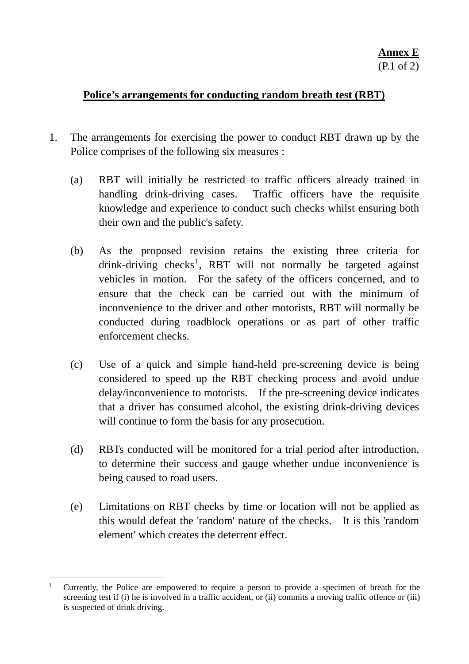#### <span id="page-10-0"></span>**Police's arrangements for conducting random breath test (RBT)**

- 1. The arrangements for exercising the power to conduct RBT drawn up by the Police comprises of the following six measures :
	- (a) RBT will initially be restricted to traffic officers already trained in handling drink-driving cases. Traffic officers have the requisite knowledge and experience to conduct such checks whilst ensuring both their own and the public's safety.
	- (b) As the proposed revision retains the existing three criteria for drink-driving checks<sup>[1](#page-10-0)</sup>, RBT will not normally be targeted against vehicles in motion. For the safety of the officers concerned, and to ensure that the check can be carried out with the minimum of inconvenience to the driver and other motorists, RBT will normally be conducted during roadblock operations or as part of other traffic enforcement checks.
	- (c) Use of a quick and simple hand-held pre-screening device is being considered to speed up the RBT checking process and avoid undue delay/inconvenience to motorists. If the pre-screening device indicates that a driver has consumed alcohol, the existing drink-driving devices will continue to form the basis for any prosecution.
	- (d) RBTs conducted will be monitored for a trial period after introduction, to determine their success and gauge whether undue inconvenience is being caused to road users.
	- (e) Limitations on RBT checks by time or location will not be applied as this would defeat the 'random' nature of the checks. It is this 'random element' which creates the deterrent effect.

 $\overline{a}$ <sup>1</sup> Currently, the Police are empowered to require a person to provide a specimen of breath for the screening test if (i) he is involved in a traffic accident, or (ii) commits a moving traffic offence or (iii) is suspected of drink driving.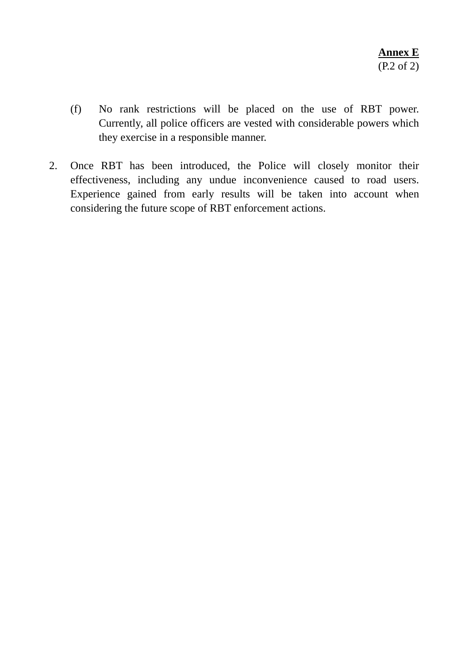- (f) No rank restrictions will be placed on the use of RBT power. Currently, all police officers are vested with considerable powers which they exercise in a responsible manner.
- 2. Once RBT has been introduced, the Police will closely monitor their effectiveness, including any undue inconvenience caused to road users. Experience gained from early results will be taken into account when considering the future scope of RBT enforcement actions.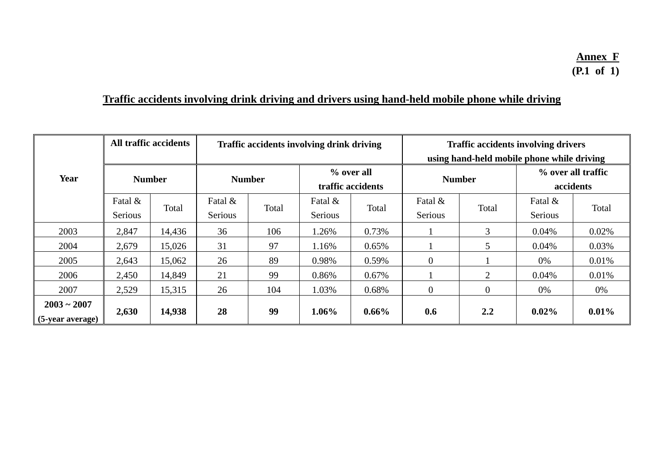# **Traffic accidents involving drink driving and drivers using hand-held mobile phone while driving**

|                                   |                    | All traffic accidents |                    |       | Traffic accidents involving drink driving |          | <b>Traffic accidents involving drivers</b><br>using hand-held mobile phone while driving |          |                                 |          |
|-----------------------------------|--------------------|-----------------------|--------------------|-------|-------------------------------------------|----------|------------------------------------------------------------------------------------------|----------|---------------------------------|----------|
| Year                              | <b>Number</b>      |                       | <b>Number</b>      |       | % over all<br>traffic accidents           |          | <b>Number</b>                                                                            |          | % over all traffic<br>accidents |          |
|                                   | Fatal &<br>Serious | Total                 | Fatal &<br>Serious | Total | Fatal &<br>Serious                        | Total    | Fatal &<br>Serious                                                                       | Total    | Fatal &<br>Serious              | Total    |
| 2003                              | 2,847              | 14,436                | 36                 | 106   | 1.26%                                     | 0.73%    |                                                                                          | 3        | 0.04%                           | 0.02%    |
| 2004                              | 2,679              | 15,026                | 31                 | 97    | 1.16%                                     | 0.65%    |                                                                                          | 5        | 0.04%                           | 0.03%    |
| 2005                              | 2,643              | 15,062                | 26                 | 89    | 0.98%                                     | 0.59%    | $\overline{0}$                                                                           |          | 0%                              | 0.01%    |
| 2006                              | 2,450              | 14,849                | 21                 | 99    | 0.86%                                     | 0.67%    |                                                                                          | 2        | 0.04%                           | 0.01%    |
| 2007                              | 2,529              | 15,315                | 26                 | 104   | 1.03%                                     | 0.68%    | $\overline{0}$                                                                           | $\theta$ | 0%                              | 0%       |
| $2003 - 2007$<br>(5-year average) | 2,630              | 14,938                | 28                 | 99    | $1.06\%$                                  | $0.66\%$ | 0.6                                                                                      | 2.2      | $0.02\%$                        | $0.01\%$ |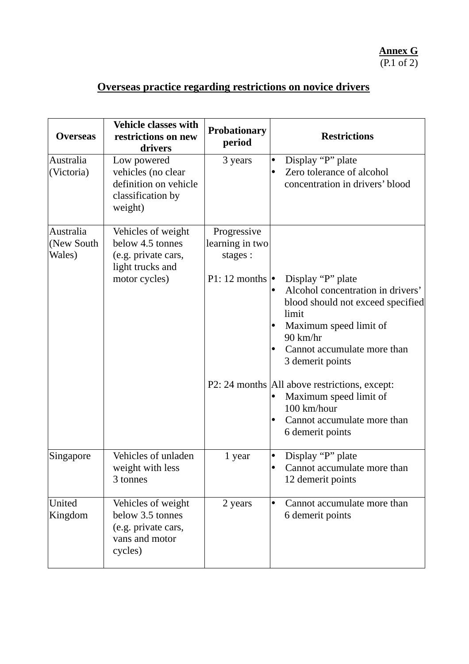# **Overseas practice regarding restrictions on novice drivers**

| <b>Overseas</b>                   | <b>Vehicle classes with</b><br>restrictions on new<br>drivers                              | <b>Probationary</b><br>period             | <b>Restrictions</b>                                                                                                                                                                                                  |
|-----------------------------------|--------------------------------------------------------------------------------------------|-------------------------------------------|----------------------------------------------------------------------------------------------------------------------------------------------------------------------------------------------------------------------|
| Australia<br>(Victoria)           | Low powered<br>vehicles (no clear<br>definition on vehicle<br>classification by<br>weight) | 3 years                                   | Display "P" plate<br>$\bullet$<br>Zero tolerance of alcohol<br>$\bullet$<br>concentration in drivers' blood                                                                                                          |
| Australia<br>(New South<br>Wales) | Vehicles of weight<br>below 4.5 tonnes<br>(e.g. private cars,<br>light trucks and          | Progressive<br>learning in two<br>stages: |                                                                                                                                                                                                                      |
|                                   | motor cycles)                                                                              | $P1: 12$ months $\cdot$                   | Display "P" plate<br>Alcohol concentration in drivers'<br>blood should not exceed specified<br>limit<br>Maximum speed limit of<br>$\bullet$<br>$90 \text{ km/hr}$<br>Cannot accumulate more than<br>3 demerit points |
|                                   |                                                                                            |                                           | P2: 24 months   All above restrictions, except:<br>Maximum speed limit of<br>100 km/hour<br>Cannot accumulate more than<br>٠<br>6 demerit points                                                                     |
| Singapore                         | Vehicles of unladen<br>weight with less<br>3 tonnes                                        | 1 year                                    | Display "P" plate<br>$\bullet$<br>Cannot accumulate more than<br>$\bullet$<br>12 demerit points                                                                                                                      |
| United<br>Kingdom                 | Vehicles of weight<br>below 3.5 tonnes<br>(e.g. private cars,<br>vans and motor<br>cycles) | 2 years                                   | Cannot accumulate more than<br>$\bullet$<br>6 demerit points                                                                                                                                                         |